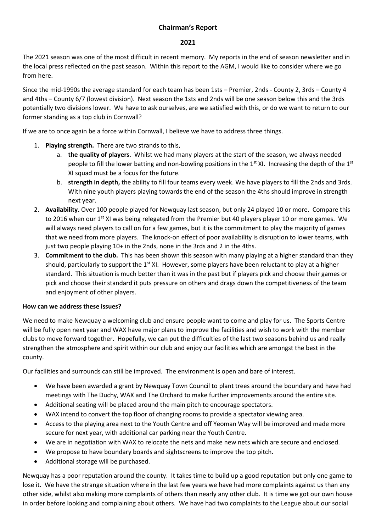## **Chairman's Report**

## **2021**

The 2021 season was one of the most difficult in recent memory. My reports in the end of season newsletter and in the local press reflected on the past season. Within this report to the AGM, I would like to consider where we go from here.

Since the mid-1990s the average standard for each team has been 1sts – Premier, 2nds - County 2, 3rds – County 4 and 4ths – County 6/7 (lowest division). Next season the 1sts and 2nds will be one season below this and the 3rds potentially two divisions lower. We have to ask ourselves, are we satisfied with this, or do we want to return to our former standing as a top club in Cornwall?

If we are to once again be a force within Cornwall, I believe we have to address three things.

- 1. **Playing strength.** There are two strands to this,
	- a. **the quality of players**. Whilst we had many players at the start of the season, we always needed people to fill the lower batting and non-bowling positions in the  $1<sup>st</sup>$  XI. Increasing the depth of the  $1<sup>st</sup>$ XI squad must be a focus for the future.
	- b. **strength in depth,** the ability to fill four teams every week. We have players to fill the 2nds and 3rds. With nine youth players playing towards the end of the season the 4ths should improve in strength next year.
- 2. **Availability.** Over 100 people played for Newquay last season, but only 24 played 10 or more. Compare this to 2016 when our 1<sup>st</sup> XI was being relegated from the Premier but 40 players player 10 or more games. We will always need players to call on for a few games, but it is the commitment to play the majority of games that we need from more players. The knock-on effect of poor availability is disruption to lower teams, with just two people playing 10+ in the 2nds, none in the 3rds and 2 in the 4ths.
- 3. **Commitment to the club.** This has been shown this season with many playing at a higher standard than they should, particularly to support the  $1^{st}$  XI. However, some players have been reluctant to play at a higher standard. This situation is much better than it was in the past but if players pick and choose their games or pick and choose their standard it puts pressure on others and drags down the competitiveness of the team and enjoyment of other players.

## **How can we address these issues?**

We need to make Newquay a welcoming club and ensure people want to come and play for us. The Sports Centre will be fully open next year and WAX have major plans to improve the facilities and wish to work with the member clubs to move forward together. Hopefully, we can put the difficulties of the last two seasons behind us and really strengthen the atmosphere and spirit within our club and enjoy our facilities which are amongst the best in the county.

Our facilities and surrounds can still be improved. The environment is open and bare of interest.

- We have been awarded a grant by Newquay Town Council to plant trees around the boundary and have had meetings with The Duchy, WAX and The Orchard to make further improvements around the entire site.
- Additional seating will be placed around the main pitch to encourage spectators.
- WAX intend to convert the top floor of changing rooms to provide a spectator viewing area.
- Access to the playing area next to the Youth Centre and off Yeoman Way will be improved and made more secure for next year, with additional car parking near the Youth Centre.
- We are in negotiation with WAX to relocate the nets and make new nets which are secure and enclosed.
- We propose to have boundary boards and sightscreens to improve the top pitch.
- Additional storage will be purchased.

Newquay has a poor reputation around the county. It takes time to build up a good reputation but only one game to lose it. We have the strange situation where in the last few years we have had more complaints against us than any other side, whilst also making more complaints of others than nearly any other club. It is time we got our own house in order before looking and complaining about others. We have had two complaints to the League about our social